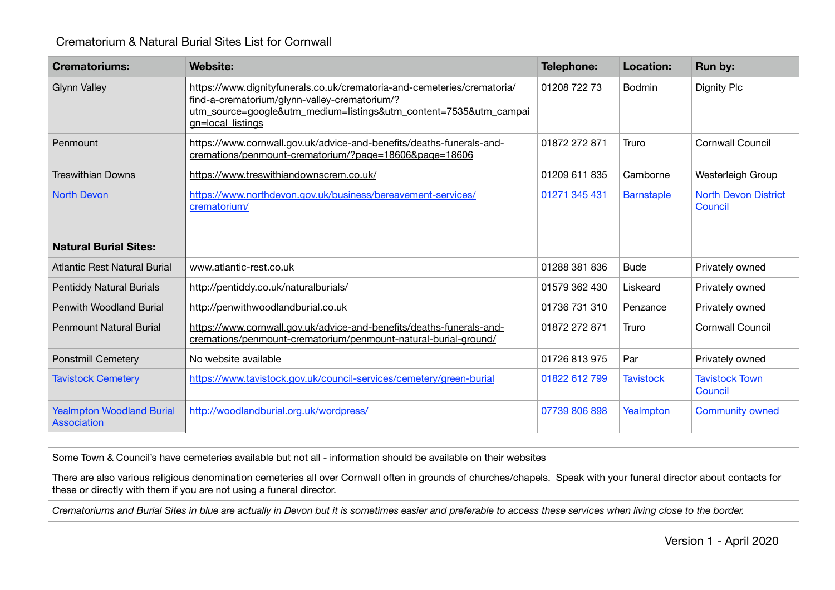## Crematorium & Natural Burial Sites List for Cornwall

| <b>Crematoriums:</b>                                   | <b>Website:</b>                                                                                                                                                                                                    | Telephone:    | <b>Location:</b>  | Run by:                                |
|--------------------------------------------------------|--------------------------------------------------------------------------------------------------------------------------------------------------------------------------------------------------------------------|---------------|-------------------|----------------------------------------|
| <b>Glynn Valley</b>                                    | https://www.dignityfunerals.co.uk/crematoria-and-cemeteries/crematoria/<br>find-a-crematorium/glynn-valley-crematorium/?<br>utm_source=google&utm_medium=listings&utm_content=7535&utm_campai<br>gn=local listings | 01208 722 73  | <b>Bodmin</b>     | <b>Dignity Plc</b>                     |
| Penmount                                               | https://www.cornwall.gov.uk/advice-and-benefits/deaths-funerals-and-<br>cremations/penmount-crematorium/?page=18606&page=18606                                                                                     | 01872 272 871 | Truro             | <b>Cornwall Council</b>                |
| <b>Treswithian Downs</b>                               | https://www.treswithiandownscrem.co.uk/                                                                                                                                                                            | 01209 611 835 | Camborne          | Westerleigh Group                      |
| <b>North Devon</b>                                     | https://www.northdevon.gov.uk/business/bereavement-services/<br>crematorium/                                                                                                                                       | 01271 345 431 | <b>Barnstaple</b> | <b>North Devon District</b><br>Council |
|                                                        |                                                                                                                                                                                                                    |               |                   |                                        |
| <b>Natural Burial Sites:</b>                           |                                                                                                                                                                                                                    |               |                   |                                        |
| Atlantic Rest Natural Burial                           | www.atlantic-rest.co.uk                                                                                                                                                                                            | 01288 381 836 | <b>Bude</b>       | Privately owned                        |
| <b>Pentiddy Natural Burials</b>                        | http://pentiddy.co.uk/naturalburials/                                                                                                                                                                              | 01579 362 430 | Liskeard          | Privately owned                        |
| Penwith Woodland Burial                                | http://penwithwoodlandburial.co.uk                                                                                                                                                                                 | 01736 731 310 | Penzance          | Privately owned                        |
| <b>Penmount Natural Burial</b>                         | https://www.cornwall.gov.uk/advice-and-benefits/deaths-funerals-and-<br>cremations/penmount-crematorium/penmount-natural-burial-ground/                                                                            | 01872 272 871 | Truro             | <b>Cornwall Council</b>                |
| <b>Ponstmill Cemetery</b>                              | No website available                                                                                                                                                                                               | 01726 813 975 | Par               | Privately owned                        |
| <b>Tavistock Cemetery</b>                              | https://www.tavistock.gov.uk/council-services/cemetery/green-burial                                                                                                                                                | 01822 612 799 | <b>Tavistock</b>  | <b>Tavistock Town</b><br>Council       |
| <b>Yealmpton Woodland Burial</b><br><b>Association</b> | http://woodlandburial.org.uk/wordpress/                                                                                                                                                                            | 07739 806 898 | Yealmpton         | <b>Community owned</b>                 |

Some Town & Council's have cemeteries available but not all - information should be available on their websites

There are also various religious denomination cemeteries all over Cornwall often in grounds of churches/chapels. Speak with your funeral director about contacts for these or directly with them if you are not using a funeral director.

*Crematoriums and Burial Sites in blue are actually in Devon but it is sometimes easier and preferable to access these services when living close to the border.*